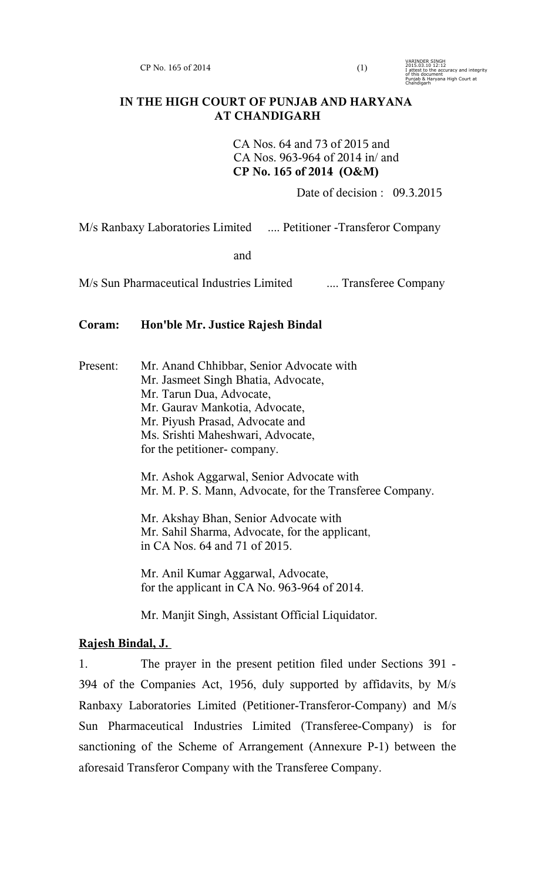$CP$  No. 165 of 2014 (1)

VARINDER SINGH 2015.03.10 12:12 I attest to the accuracy and integrity of this document Punjab & Haryana High Court at Chandigarh

# **IN THE HIGH COURT OF PUNJAB AND HARYANA AT CHANDIGARH**

CA Nos. 64 and 73 of 2015 and CA Nos. 963-964 of 2014 in/ and **CP No. 165 of 2014 (O&M)**

Date of decision : 09.3.2015

M/s Ranbaxy Laboratories Limited .... Petitioner -Transferor Company

and

M/s Sun Pharmaceutical Industries Limited .... Transferee Company

# **Coram: Hon'ble Mr. Justice Rajesh Bindal**

Present: Mr. Anand Chhibbar, Senior Advocate with Mr. Jasmeet Singh Bhatia, Advocate, Mr. Tarun Dua, Advocate, Mr. Gaurav Mankotia, Advocate, Mr. Piyush Prasad, Advocate and Ms. Srishti Maheshwari, Advocate, for the petitioner- company.

> Mr. Ashok Aggarwal, Senior Advocate with Mr. M. P. S. Mann, Advocate, for the Transferee Company.

Mr. Akshay Bhan, Senior Advocate with Mr. Sahil Sharma, Advocate, for the applicant, in CA Nos. 64 and 71 of 2015.

Mr. Anil Kumar Aggarwal, Advocate, for the applicant in CA No. 963-964 of 2014.

Mr. Manjit Singh, Assistant Official Liquidator.

# **Rajesh Bindal, J.**

1. The prayer in the present petition filed under Sections 391 - 394 of the Companies Act, 1956, duly supported by affidavits, by M/s Ranbaxy Laboratories Limited (Petitioner-Transferor-Company) and M/s Sun Pharmaceutical Industries Limited (Transferee-Company) is for sanctioning of the Scheme of Arrangement (Annexure P-1) between the aforesaid Transferor Company with the Transferee Company.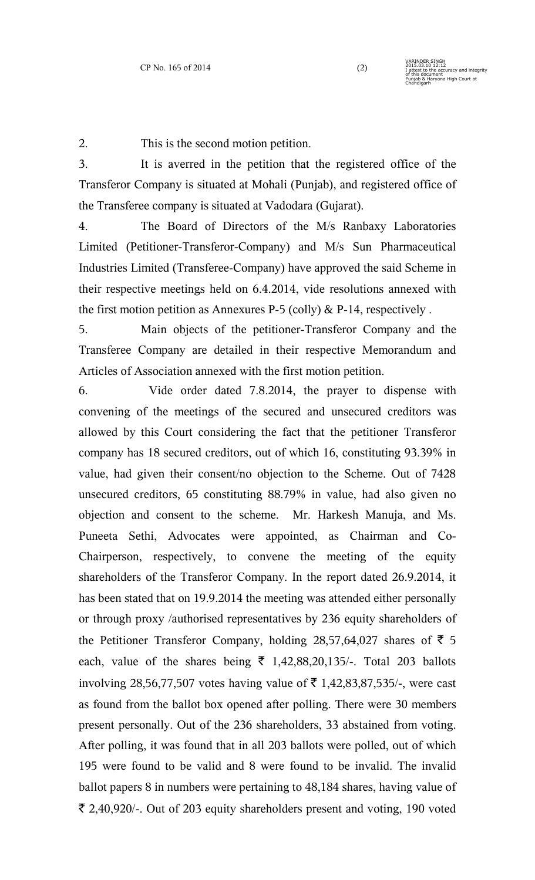2. This is the second motion petition.

3. It is averred in the petition that the registered office of the Transferor Company is situated at Mohali (Punjab), and registered office of the Transferee company is situated at Vadodara (Gujarat).

4. The Board of Directors of the M/s Ranbaxy Laboratories Limited (Petitioner-Transferor-Company) and M/s Sun Pharmaceutical Industries Limited (Transferee-Company) have approved the said Scheme in their respective meetings held on 6.4.2014, vide resolutions annexed with the first motion petition as Annexures P-5 (colly) & P-14, respectively.

5. Main objects of the petitioner-Transferor Company and the Transferee Company are detailed in their respective Memorandum and Articles of Association annexed with the first motion petition.

6. Vide order dated 7.8.2014, the prayer to dispense with convening of the meetings of the secured and unsecured creditors was allowed by this Court considering the fact that the petitioner Transferor company has 18 secured creditors, out of which 16, constituting 93.39% in value, had given their consent/no objection to the Scheme. Out of 7428 unsecured creditors, 65 constituting 88.79% in value, had also given no objection and consent to the scheme. Mr. Harkesh Manuja, and Ms. Puneeta Sethi, Advocates were appointed, as Chairman and Co-Chairperson, respectively, to convene the meeting of the equity shareholders of the Transferor Company. In the report dated 26.9.2014, it has been stated that on 19.9.2014 the meeting was attended either personally or through proxy /authorised representatives by 236 equity shareholders of the Petitioner Transferor Company, holding 28,57,64,027 shares of  $\bar{\tau}$  5 each, value of the shares being  $\bar{\tau}$  1,42,88,20,135/-. Total 203 ballots involving 28,56,77,507 votes having value of  $\bar{\tau}$  1,42,83,87,535/-, were cast as found from the ballot box opened after polling. There were 30 members present personally. Out of the 236 shareholders, 33 abstained from voting. After polling, it was found that in all 203 ballots were polled, out of which 195 were found to be valid and 8 were found to be invalid. The invalid ballot papers 8 in numbers were pertaining to 48,184 shares, having value of  $\bar{\xi}$  2,40,920/-. Out of 203 equity shareholders present and voting, 190 voted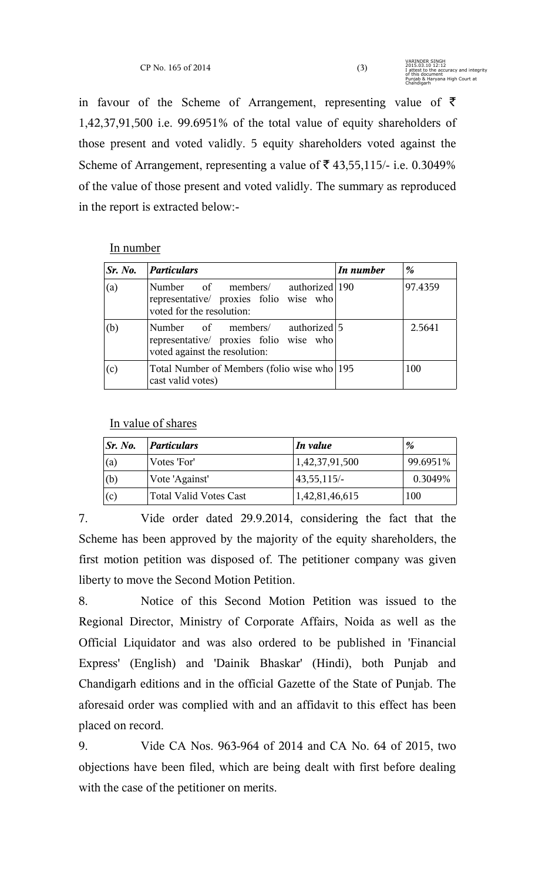in favour of the Scheme of Arrangement, representing value of  $\bar{\tau}$ 1,42,37,91,500 i.e. 99.6951% of the total value of equity shareholders of those present and voted validly. 5 equity shareholders voted against the Scheme of Arrangement, representing a value of  $\bar{\tau}$  43,55,115/- i.e. 0.3049% of the value of those present and voted validly. The summary as reproduced in the report is extracted below:-

### In number

| Sr. No. | <i>Particulars</i>                                                                                         | In number | %       |
|---------|------------------------------------------------------------------------------------------------------------|-----------|---------|
| (a)     | Number of members/ authorized 190<br>representative/ proxies folio wise who<br>voted for the resolution:   |           | 97.4359 |
| (b)     | Number of members/ authorized 5<br>representative/ proxies folio wise who<br>voted against the resolution: |           | 2.5641  |
| (c)     | Total Number of Members (folio wise who 195<br>cast valid votes)                                           |           | 100     |

# In value of shares

| Sr. No.      | <b>Particulars</b>     | In value              | %        |
|--------------|------------------------|-----------------------|----------|
| $\mathbf{a}$ | Votes 'For'            | 1,42,37,91,500        | 99.6951% |
| (b)          | Vote 'Against'         | $ 43,55,115\rangle$ - | 0.3049%  |
| (c)          | Total Valid Votes Cast | 1,42,81,46,615        | 100      |

7. Vide order dated 29.9.2014, considering the fact that the Scheme has been approved by the majority of the equity shareholders, the first motion petition was disposed of. The petitioner company was given liberty to move the Second Motion Petition.

8. Notice of this Second Motion Petition was issued to the Regional Director, Ministry of Corporate Affairs, Noida as well as the Official Liquidator and was also ordered to be published in 'Financial Express' (English) and 'Dainik Bhaskar' (Hindi), both Punjab and Chandigarh editions and in the official Gazette of the State of Punjab. The aforesaid order was complied with and an affidavit to this effect has been placed on record.

9. Vide CA Nos. 963-964 of 2014 and CA No. 64 of 2015, two objections have been filed, which are being dealt with first before dealing with the case of the petitioner on merits.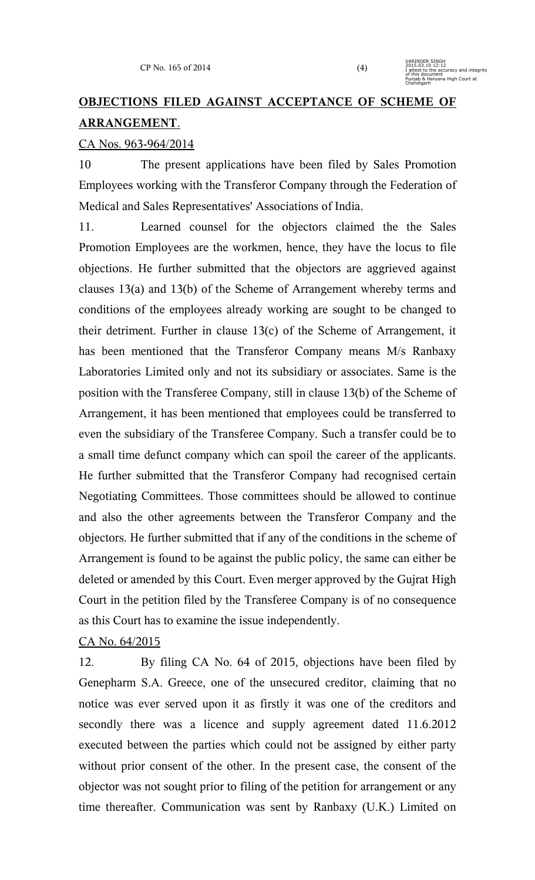# **OBJECTIONS FILED AGAINST ACCEPTANCE OF SCHEME OF ARRANGEMENT**.

### CA Nos. 963-964/2014

10 The present applications have been filed by Sales Promotion Employees working with the Transferor Company through the Federation of Medical and Sales Representatives' Associations of India.

11. Learned counsel for the objectors claimed the the Sales Promotion Employees are the workmen, hence, they have the locus to file objections. He further submitted that the objectors are aggrieved against clauses 13(a) and 13(b) of the Scheme of Arrangement whereby terms and conditions of the employees already working are sought to be changed to their detriment. Further in clause 13(c) of the Scheme of Arrangement, it has been mentioned that the Transferor Company means M/s Ranbaxy Laboratories Limited only and not its subsidiary or associates. Same is the position with the Transferee Company, still in clause 13(b) of the Scheme of Arrangement, it has been mentioned that employees could be transferred to even the subsidiary of the Transferee Company. Such a transfer could be to a small time defunct company which can spoil the career of the applicants. He further submitted that the Transferor Company had recognised certain Negotiating Committees. Those committees should be allowed to continue and also the other agreements between the Transferor Company and the objectors. He further submitted that if any of the conditions in the scheme of Arrangement is found to be against the public policy, the same can either be deleted or amended by this Court. Even merger approved by the Gujrat High Court in the petition filed by the Transferee Company is of no consequence as this Court has to examine the issue independently.

# CA No. 64/2015

12. By filing CA No. 64 of 2015, objections have been filed by Genepharm S.A. Greece, one of the unsecured creditor, claiming that no notice was ever served upon it as firstly it was one of the creditors and secondly there was a licence and supply agreement dated 11.6.2012 executed between the parties which could not be assigned by either party without prior consent of the other. In the present case, the consent of the objector was not sought prior to filing of the petition for arrangement or any time thereafter. Communication was sent by Ranbaxy (U.K.) Limited on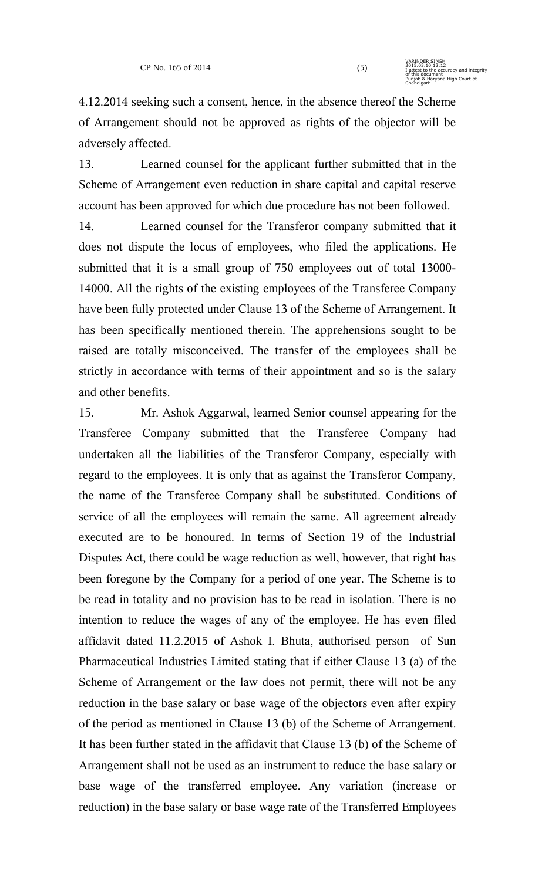4.12.2014 seeking such a consent, hence, in the absence thereof the Scheme of Arrangement should not be approved as rights of the objector will be adversely affected.

13. Learned counsel for the applicant further submitted that in the Scheme of Arrangement even reduction in share capital and capital reserve account has been approved for which due procedure has not been followed.

14. Learned counsel for the Transferor company submitted that it does not dispute the locus of employees, who filed the applications. He submitted that it is a small group of 750 employees out of total 13000- 14000. All the rights of the existing employees of the Transferee Company have been fully protected under Clause 13 of the Scheme of Arrangement. It has been specifically mentioned therein. The apprehensions sought to be raised are totally misconceived. The transfer of the employees shall be strictly in accordance with terms of their appointment and so is the salary and other benefits.

15. Mr. Ashok Aggarwal, learned Senior counsel appearing for the Transferee Company submitted that the Transferee Company had undertaken all the liabilities of the Transferor Company, especially with regard to the employees. It is only that as against the Transferor Company, the name of the Transferee Company shall be substituted. Conditions of service of all the employees will remain the same. All agreement already executed are to be honoured. In terms of Section 19 of the Industrial Disputes Act, there could be wage reduction as well, however, that right has been foregone by the Company for a period of one year. The Scheme is to be read in totality and no provision has to be read in isolation. There is no intention to reduce the wages of any of the employee. He has even filed affidavit dated 11.2.2015 of Ashok I. Bhuta, authorised person of Sun Pharmaceutical Industries Limited stating that if either Clause 13 (a) of the Scheme of Arrangement or the law does not permit, there will not be any reduction in the base salary or base wage of the objectors even after expiry of the period as mentioned in Clause 13 (b) of the Scheme of Arrangement. It has been further stated in the affidavit that Clause 13 (b) of the Scheme of Arrangement shall not be used as an instrument to reduce the base salary or base wage of the transferred employee. Any variation (increase or reduction) in the base salary or base wage rate of the Transferred Employees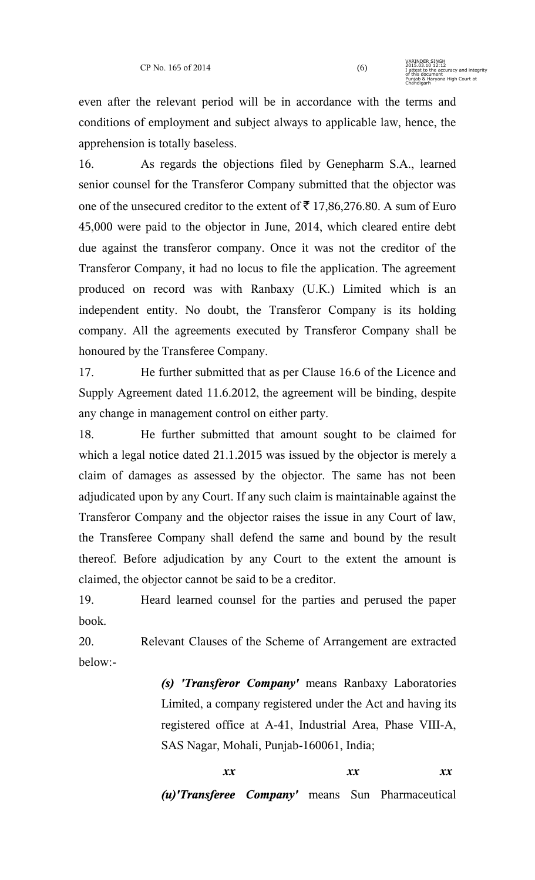even after the relevant period will be in accordance with the terms and conditions of employment and subject always to applicable law, hence, the apprehension is totally baseless.

16. As regards the objections filed by Genepharm S.A., learned senior counsel for the Transferor Company submitted that the objector was one of the unsecured creditor to the extent of  $\bar{\tau}$  17,86,276.80. A sum of Euro 45,000 were paid to the objector in June, 2014, which cleared entire debt due against the transferor company. Once it was not the creditor of the Transferor Company, it had no locus to file the application. The agreement produced on record was with Ranbaxy (U.K.) Limited which is an independent entity. No doubt, the Transferor Company is its holding company. All the agreements executed by Transferor Company shall be honoured by the Transferee Company.

17. He further submitted that as per Clause 16.6 of the Licence and Supply Agreement dated 11.6.2012, the agreement will be binding, despite any change in management control on either party.

18. He further submitted that amount sought to be claimed for which a legal notice dated 21.1.2015 was issued by the objector is merely a claim of damages as assessed by the objector. The same has not been adjudicated upon by any Court. If any such claim is maintainable against the Transferor Company and the objector raises the issue in any Court of law, the Transferee Company shall defend the same and bound by the result thereof. Before adjudication by any Court to the extent the amount is claimed, the objector cannot be said to be a creditor.

19. Heard learned counsel for the parties and perused the paper book.

20. Relevant Clauses of the Scheme of Arrangement are extracted below:-

> *(s) 'Transferor Company'* means Ranbaxy Laboratories Limited, a company registered under the Act and having its registered office at A-41, Industrial Area, Phase VIII-A, SAS Nagar, Mohali, Punjab-160061, India;

> > *xx xx xx xx*

*(u)'Transferee Company'* means Sun Pharmaceutical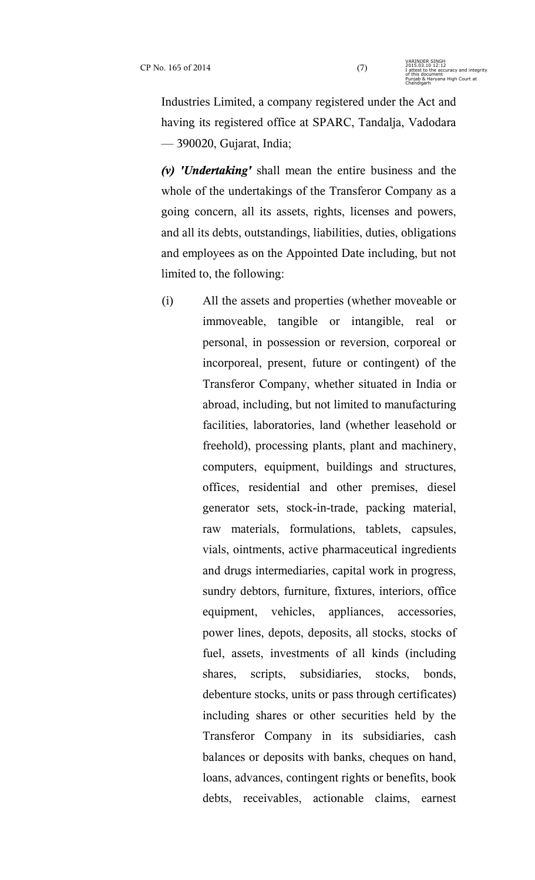Industries Limited, a company registered under the Act and having its registered office at SPARC, Tandalja, Vadodara — 390020, Gujarat, India;

*(v) 'Undertaking'* shall mean the entire business and the whole of the undertakings of the Transferor Company as a going concern, all its assets, rights, licenses and powers, and all its debts, outstandings, liabilities, duties, obligations and employees as on the Appointed Date including, but not limited to, the following:

(i) All the assets and properties (whether moveable or immoveable, tangible or intangible, real or personal, in possession or reversion, corporeal or incorporeal, present, future or contingent) of the Transferor Company, whether situated in India or abroad, including, but not limited to manufacturing facilities, laboratories, land (whether leasehold or freehold), processing plants, plant and machinery, computers, equipment, buildings and structures, offices, residential and other premises, diesel generator sets, stock-in-trade, packing material, raw materials, formulations, tablets, capsules, vials, ointments, active pharmaceutical ingredients and drugs intermediaries, capital work in progress, sundry debtors, furniture, fixtures, interiors, office equipment, vehicles, appliances, accessories, power lines, depots, deposits, all stocks, stocks of fuel, assets, investments of all kinds (including shares, scripts, subsidiaries, stocks, bonds, debenture stocks, units or pass through certificates) including shares or other securities held by the Transferor Company in its subsidiaries, cash balances or deposits with banks, cheques on hand, loans, advances, contingent rights or benefits, book debts, receivables, actionable claims, earnest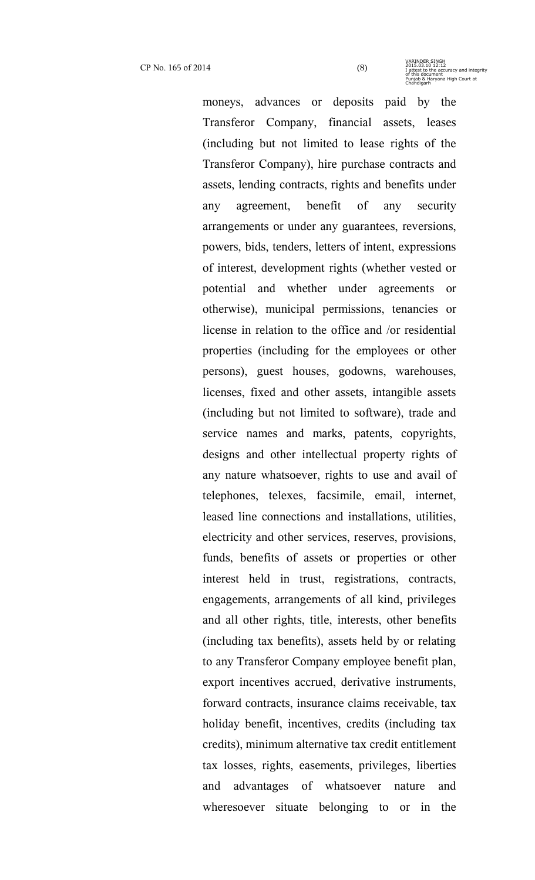moneys, advances or deposits paid by the Transferor Company, financial assets, leases (including but not limited to lease rights of the Transferor Company), hire purchase contracts and assets, lending contracts, rights and benefits under any agreement, benefit of any security arrangements or under any guarantees, reversions, powers, bids, tenders, letters of intent, expressions of interest, development rights (whether vested or potential and whether under agreements or otherwise), municipal permissions, tenancies or license in relation to the office and /or residential properties (including for the employees or other persons), guest houses, godowns, warehouses, licenses, fixed and other assets, intangible assets (including but not limited to software), trade and service names and marks, patents, copyrights, designs and other intellectual property rights of any nature whatsoever, rights to use and avail of telephones, telexes, facsimile, email, internet, leased line connections and installations, utilities, electricity and other services, reserves, provisions, funds, benefits of assets or properties or other interest held in trust, registrations, contracts, engagements, arrangements of all kind, privileges and all other rights, title, interests, other benefits (including tax benefits), assets held by or relating to any Transferor Company employee benefit plan, export incentives accrued, derivative instruments, forward contracts, insurance claims receivable, tax holiday benefit, incentives, credits (including tax credits), minimum alternative tax credit entitlement tax losses, rights, easements, privileges, liberties and advantages of whatsoever nature and wheresoever situate belonging to or in the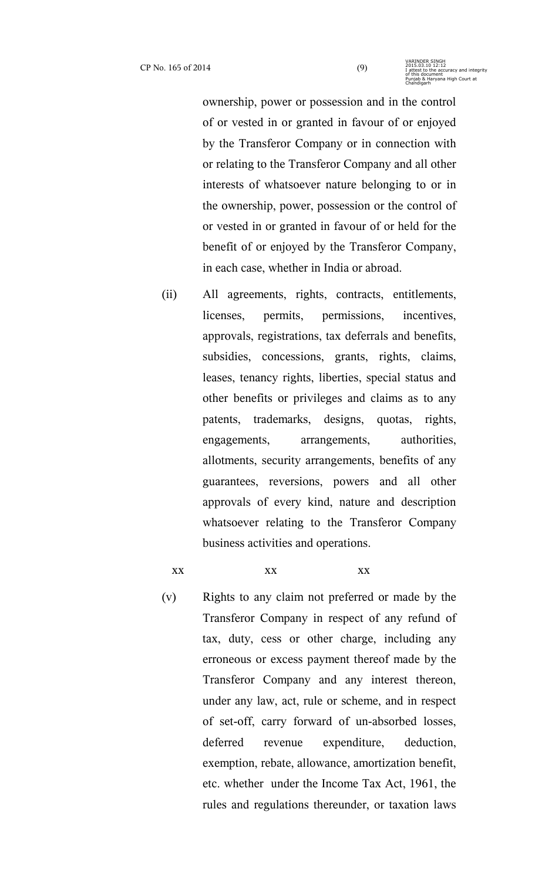ownership, power or possession and in the control of or vested in or granted in favour of or enjoyed by the Transferor Company or in connection with or relating to the Transferor Company and all other interests of whatsoever nature belonging to or in the ownership, power, possession or the control of or vested in or granted in favour of or held for the benefit of or enjoyed by the Transferor Company, in each case, whether in India or abroad.

- (ii) All agreements, rights, contracts, entitlements, licenses, permits, permissions, incentives, approvals, registrations, tax deferrals and benefits, subsidies, concessions, grants, rights, claims, leases, tenancy rights, liberties, special status and other benefits or privileges and claims as to any patents, trademarks, designs, quotas, rights, engagements, arrangements, authorities, allotments, security arrangements, benefits of any guarantees, reversions, powers and all other approvals of every kind, nature and description whatsoever relating to the Transferor Company business activities and operations.
	-

xx xx xx xx

(v) Rights to any claim not preferred or made by the Transferor Company in respect of any refund of tax, duty, cess or other charge, including any erroneous or excess payment thereof made by the Transferor Company and any interest thereon, under any law, act, rule or scheme, and in respect of set-off, carry forward of un-absorbed losses, deferred revenue expenditure, deduction, exemption, rebate, allowance, amortization benefit, etc. whether under the Income Tax Act, 1961, the rules and regulations thereunder, or taxation laws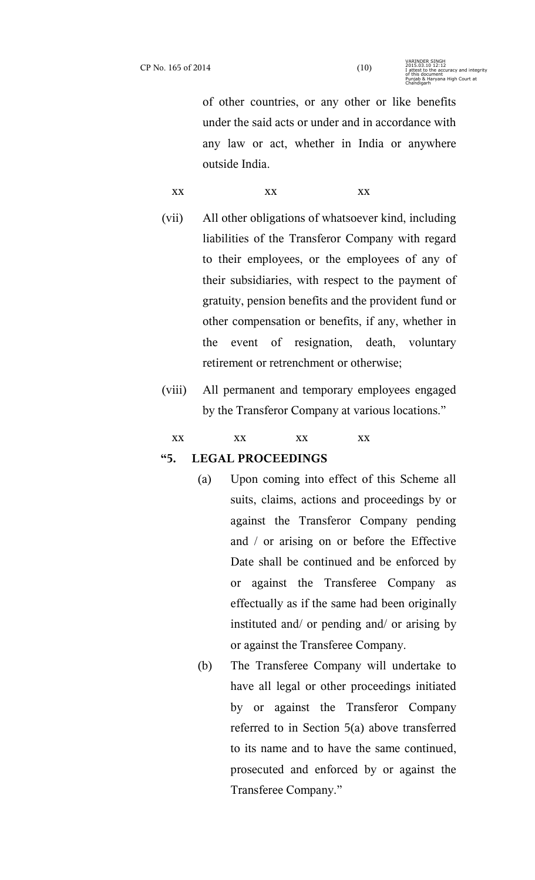of other countries, or any other or like benefits under the said acts or under and in accordance with any law or act, whether in India or anywhere outside India.

xx xx xx xx

- (vii) All other obligations of whatsoever kind, including liabilities of the Transferor Company with regard to their employees, or the employees of any of their subsidiaries, with respect to the payment of gratuity, pension benefits and the provident fund or other compensation or benefits, if any, whether in the event of resignation, death, voluntary retirement or retrenchment or otherwise;
- (viii) All permanent and temporary employees engaged by the Transferor Company at various locations."
	- xx xx xx xx xx

### **"5. LEGAL PROCEEDINGS**

- (a) Upon coming into effect of this Scheme all suits, claims, actions and proceedings by or against the Transferor Company pending and / or arising on or before the Effective Date shall be continued and be enforced by or against the Transferee Company as effectually as if the same had been originally instituted and/ or pending and/ or arising by or against the Transferee Company.
- (b) The Transferee Company will undertake to have all legal or other proceedings initiated by or against the Transferor Company referred to in Section 5(a) above transferred to its name and to have the same continued, prosecuted and enforced by or against the Transferee Company."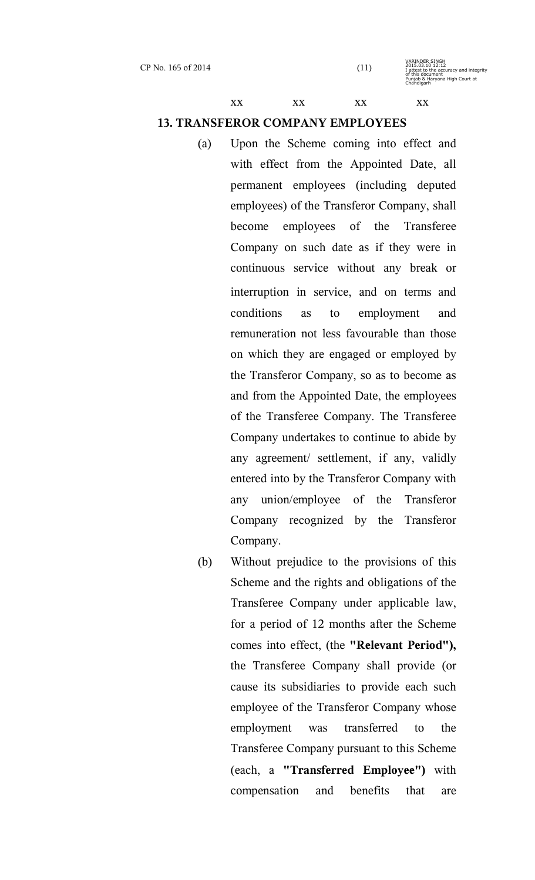xx xx xx xx xx

# **13. TRANSFEROR COMPANY EMPLOYEES**

- (a) Upon the Scheme coming into effect and with effect from the Appointed Date, all permanent employees (including deputed employees) of the Transferor Company, shall become employees of the Transferee Company on such date as if they were in continuous service without any break or interruption in service, and on terms and conditions as to employment and remuneration not less favourable than those on which they are engaged or employed by the Transferor Company, so as to become as and from the Appointed Date, the employees of the Transferee Company. The Transferee Company undertakes to continue to abide by any agreement/ settlement, if any, validly entered into by the Transferor Company with any union/employee of the Transferor Company recognized by the Transferor Company.
- (b) Without prejudice to the provisions of this Scheme and the rights and obligations of the Transferee Company under applicable law, for a period of 12 months after the Scheme comes into effect, (the **"Relevant Period"),** the Transferee Company shall provide (or cause its subsidiaries to provide each such employee of the Transferor Company whose employment was transferred to the Transferee Company pursuant to this Scheme (each, a **"Transferred Employee")** with compensation and benefits that are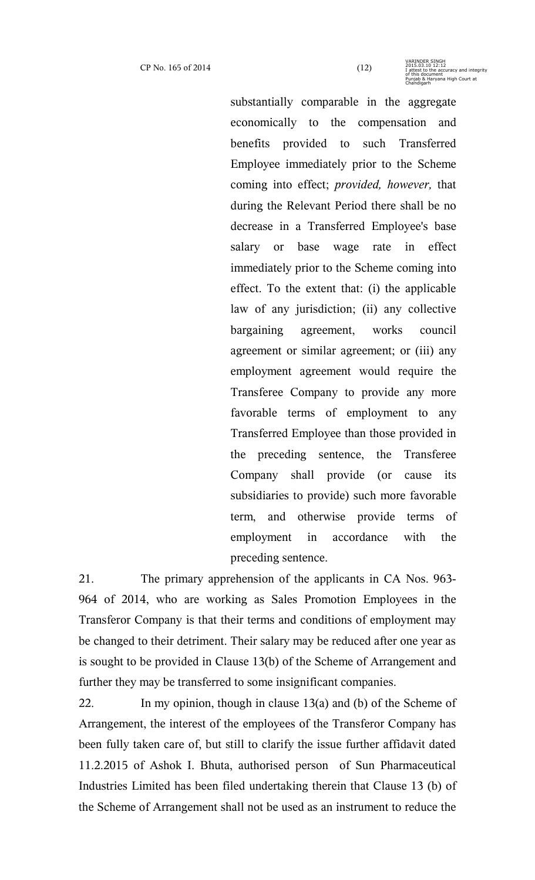substantially comparable in the aggregate economically to the compensation and benefits provided to such Transferred Employee immediately prior to the Scheme coming into effect; *provided, however,* that during the Relevant Period there shall be no decrease in a Transferred Employee's base salary or base wage rate in effect immediately prior to the Scheme coming into effect. To the extent that: (i) the applicable law of any jurisdiction; (ii) any collective bargaining agreement, works council agreement or similar agreement; or (iii) any employment agreement would require the Transferee Company to provide any more favorable terms of employment to any Transferred Employee than those provided in the preceding sentence, the Transferee Company shall provide (or cause its subsidiaries to provide) such more favorable term, and otherwise provide terms of employment in accordance with the preceding sentence.

21. The primary apprehension of the applicants in CA Nos. 963- 964 of 2014, who are working as Sales Promotion Employees in the Transferor Company is that their terms and conditions of employment may be changed to their detriment. Their salary may be reduced after one year as is sought to be provided in Clause 13(b) of the Scheme of Arrangement and further they may be transferred to some insignificant companies.

22. In my opinion, though in clause 13(a) and (b) of the Scheme of Arrangement, the interest of the employees of the Transferor Company has been fully taken care of, but still to clarify the issue further affidavit dated 11.2.2015 of Ashok I. Bhuta, authorised person of Sun Pharmaceutical Industries Limited has been filed undertaking therein that Clause 13 (b) of the Scheme of Arrangement shall not be used as an instrument to reduce the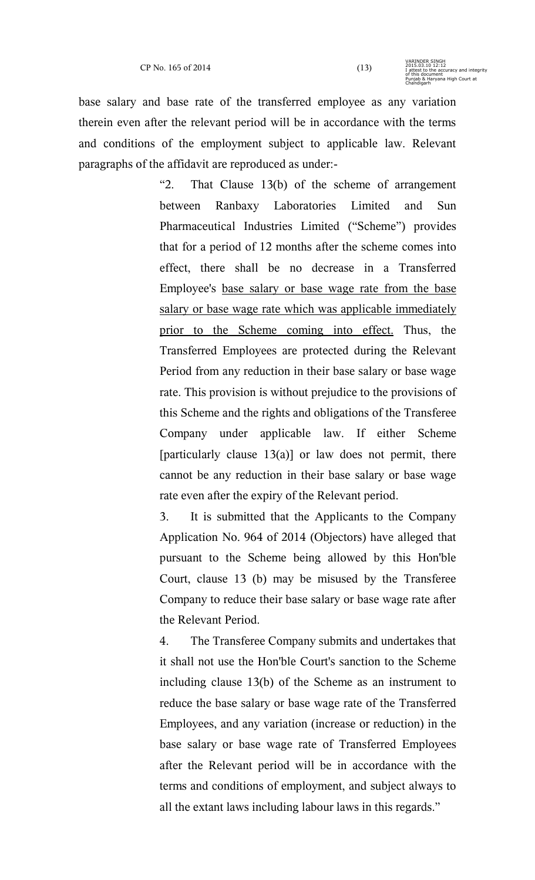base salary and base rate of the transferred employee as any variation therein even after the relevant period will be in accordance with the terms and conditions of the employment subject to applicable law. Relevant paragraphs of the affidavit are reproduced as under:-

> "2. That Clause 13(b) of the scheme of arrangement between Ranbaxy Laboratories Limited and Sun Pharmaceutical Industries Limited ("Scheme") provides that for a period of 12 months after the scheme comes into effect, there shall be no decrease in a Transferred Employee's base salary or base wage rate from the base salary or base wage rate which was applicable immediately prior to the Scheme coming into effect. Thus, the Transferred Employees are protected during the Relevant Period from any reduction in their base salary or base wage rate. This provision is without prejudice to the provisions of this Scheme and the rights and obligations of the Transferee Company under applicable law. If either Scheme [particularly clause 13(a)] or law does not permit, there cannot be any reduction in their base salary or base wage rate even after the expiry of the Relevant period.

> 3. It is submitted that the Applicants to the Company Application No. 964 of 2014 (Objectors) have alleged that pursuant to the Scheme being allowed by this Hon'ble Court, clause 13 (b) may be misused by the Transferee Company to reduce their base salary or base wage rate after the Relevant Period.

> 4. The Transferee Company submits and undertakes that it shall not use the Hon'ble Court's sanction to the Scheme including clause 13(b) of the Scheme as an instrument to reduce the base salary or base wage rate of the Transferred Employees, and any variation (increase or reduction) in the base salary or base wage rate of Transferred Employees after the Relevant period will be in accordance with the terms and conditions of employment, and subject always to all the extant laws including labour laws in this regards."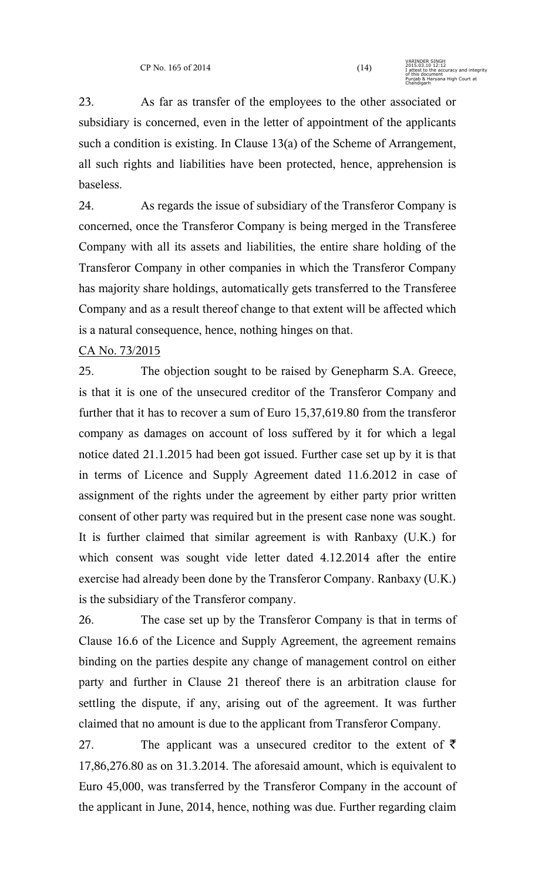23. As far as transfer of the employees to the other associated or subsidiary is concerned, even in the letter of appointment of the applicants such a condition is existing. In Clause 13(a) of the Scheme of Arrangement, all such rights and liabilities have been protected, hence, apprehension is baseless.

24. As regards the issue of subsidiary of the Transferor Company is concerned, once the Transferor Company is being merged in the Transferee Company with all its assets and liabilities, the entire share holding of the Transferor Company in other companies in which the Transferor Company has majority share holdings, automatically gets transferred to the Transferee Company and as a result thereof change to that extent will be affected which is a natural consequence, hence, nothing hinges on that.

# CA No. 73/2015

25. The objection sought to be raised by Genepharm S.A. Greece, is that it is one of the unsecured creditor of the Transferor Company and further that it has to recover a sum of Euro 15,37,619.80 from the transferor company as damages on account of loss suffered by it for which a legal notice dated 21.1.2015 had been got issued. Further case set up by it is that in terms of Licence and Supply Agreement dated 11.6.2012 in case of assignment of the rights under the agreement by either party prior written consent of other party was required but in the present case none was sought. It is further claimed that similar agreement is with Ranbaxy (U.K.) for which consent was sought vide letter dated 4.12.2014 after the entire exercise had already been done by the Transferor Company. Ranbaxy (U.K.) is the subsidiary of the Transferor company.

26. The case set up by the Transferor Company is that in terms of Clause 16.6 of the Licence and Supply Agreement, the agreement remains binding on the parties despite any change of management control on either party and further in Clause 21 thereof there is an arbitration clause for settling the dispute, if any, arising out of the agreement. It was further claimed that no amount is due to the applicant from Transferor Company.

27. The applicant was a unsecured creditor to the extent of  $\bar{\tau}$ 17,86,276.80 as on 31.3.2014. The aforesaid amount, which is equivalent to Euro 45,000, was transferred by the Transferor Company in the account of the applicant in June, 2014, hence, nothing was due. Further regarding claim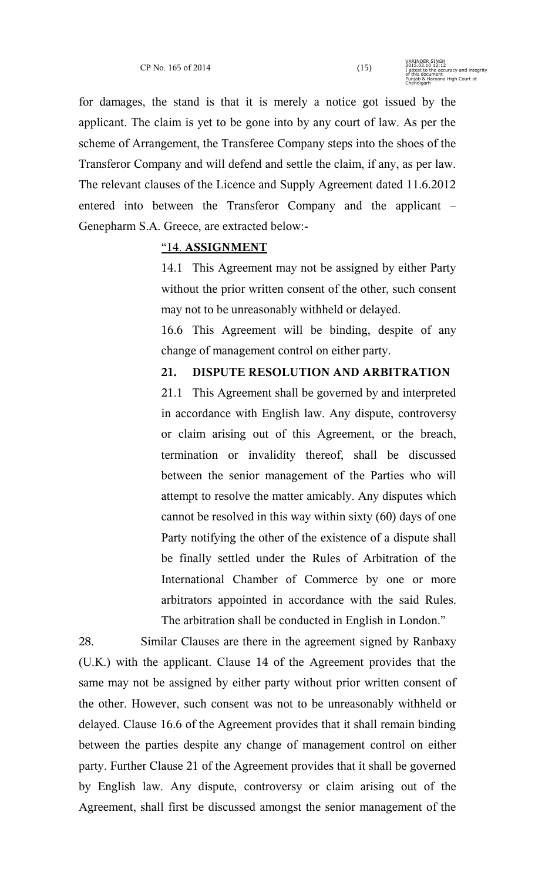for damages, the stand is that it is merely a notice got issued by the applicant. The claim is yet to be gone into by any court of law. As per the scheme of Arrangement, the Transferee Company steps into the shoes of the Transferor Company and will defend and settle the claim, if any, as per law. The relevant clauses of the Licence and Supply Agreement dated 11.6.2012 entered into between the Transferor Company and the applicant – Genepharm S.A. Greece, are extracted below:-

### "14. **ASSIGNMENT**

14.1 This Agreement may not be assigned by either Party without the prior written consent of the other, such consent may not to be unreasonably withheld or delayed.

16.6 This Agreement will be binding, despite of any change of management control on either party.

# **21. DISPUTE RESOLUTION AND ARBITRATION**

21.1 This Agreement shall be governed by and interpreted in accordance with English law. Any dispute, controversy or claim arising out of this Agreement, or the breach, termination or invalidity thereof, shall be discussed between the senior management of the Parties who will attempt to resolve the matter amicably. Any disputes which cannot be resolved in this way within sixty (60) days of one Party notifying the other of the existence of a dispute shall be finally settled under the Rules of Arbitration of the International Chamber of Commerce by one or more arbitrators appointed in accordance with the said Rules. The arbitration shall be conducted in English in London."

28. Similar Clauses are there in the agreement signed by Ranbaxy (U.K.) with the applicant. Clause 14 of the Agreement provides that the same may not be assigned by either party without prior written consent of the other. However, such consent was not to be unreasonably withheld or delayed. Clause 16.6 of the Agreement provides that it shall remain binding between the parties despite any change of management control on either party. Further Clause 21 of the Agreement provides that it shall be governed by English law. Any dispute, controversy or claim arising out of the Agreement, shall first be discussed amongst the senior management of the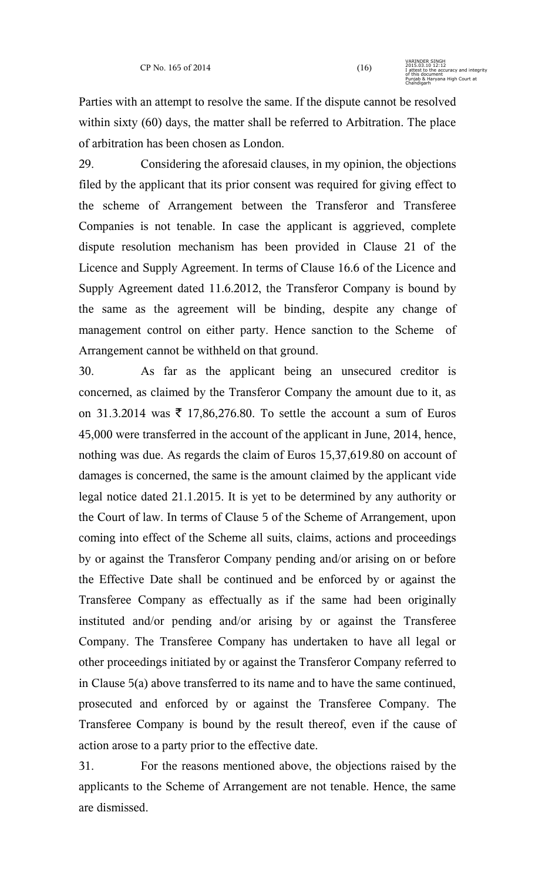Parties with an attempt to resolve the same. If the dispute cannot be resolved within sixty (60) days, the matter shall be referred to Arbitration. The place of arbitration has been chosen as London.

29. Considering the aforesaid clauses, in my opinion, the objections filed by the applicant that its prior consent was required for giving effect to the scheme of Arrangement between the Transferor and Transferee Companies is not tenable. In case the applicant is aggrieved, complete dispute resolution mechanism has been provided in Clause 21 of the Licence and Supply Agreement. In terms of Clause 16.6 of the Licence and Supply Agreement dated 11.6.2012, the Transferor Company is bound by the same as the agreement will be binding, despite any change of management control on either party. Hence sanction to the Scheme of Arrangement cannot be withheld on that ground.

30. As far as the applicant being an unsecured creditor is concerned, as claimed by the Transferor Company the amount due to it, as on 31.3.2014 was  $\overline{\xi}$  17,86,276.80. To settle the account a sum of Euros 45,000 were transferred in the account of the applicant in June, 2014, hence, nothing was due. As regards the claim of Euros 15,37,619.80 on account of damages is concerned, the same is the amount claimed by the applicant vide legal notice dated 21.1.2015. It is yet to be determined by any authority or the Court of law. In terms of Clause 5 of the Scheme of Arrangement, upon coming into effect of the Scheme all suits, claims, actions and proceedings by or against the Transferor Company pending and/or arising on or before the Effective Date shall be continued and be enforced by or against the Transferee Company as effectually as if the same had been originally instituted and/or pending and/or arising by or against the Transferee Company. The Transferee Company has undertaken to have all legal or other proceedings initiated by or against the Transferor Company referred to in Clause 5(a) above transferred to its name and to have the same continued, prosecuted and enforced by or against the Transferee Company. The Transferee Company is bound by the result thereof, even if the cause of action arose to a party prior to the effective date.

31. For the reasons mentioned above, the objections raised by the applicants to the Scheme of Arrangement are not tenable. Hence, the same are dismissed.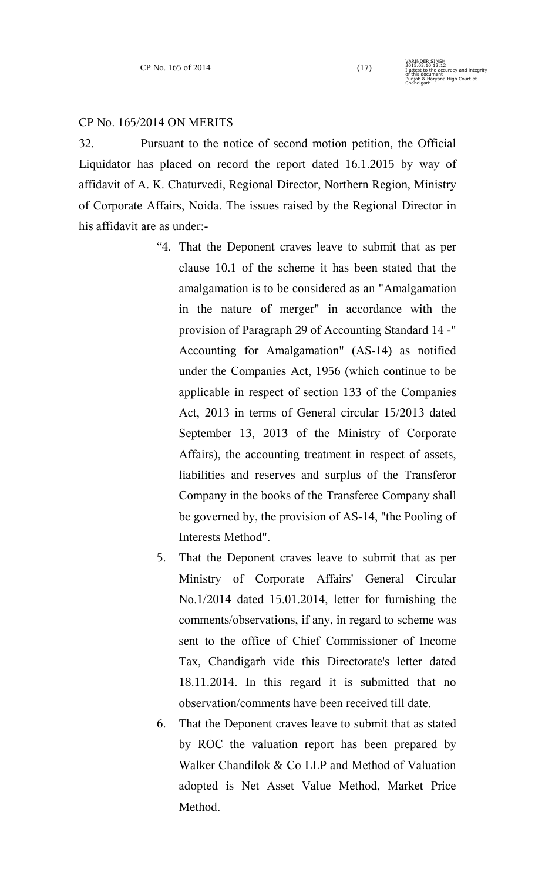VARINDER SINGH

Chandigarh

2015.03.10 12:12 I attest to the accuracy and integrity of this document Punjab & Haryana High Court at

#### CP No. 165/2014 ON MERITS

32. Pursuant to the notice of second motion petition, the Official Liquidator has placed on record the report dated 16.1.2015 by way of affidavit of A. K. Chaturvedi, Regional Director, Northern Region, Ministry of Corporate Affairs, Noida. The issues raised by the Regional Director in his affidavit are as under:-

- "4. That the Deponent craves leave to submit that as per clause 10.1 of the scheme it has been stated that the amalgamation is to be considered as an "Amalgamation in the nature of merger" in accordance with the provision of Paragraph 29 of Accounting Standard 14 -" Accounting for Amalgamation" (AS-14) as notified under the Companies Act, 1956 (which continue to be applicable in respect of section 133 of the Companies Act, 2013 in terms of General circular 15/2013 dated September 13, 2013 of the Ministry of Corporate Affairs), the accounting treatment in respect of assets, liabilities and reserves and surplus of the Transferor Company in the books of the Transferee Company shall be governed by, the provision of AS-14, "the Pooling of Interests Method".
- 5. That the Deponent craves leave to submit that as per Ministry of Corporate Affairs' General Circular No.1/2014 dated 15.01.2014, letter for furnishing the comments/observations, if any, in regard to scheme was sent to the office of Chief Commissioner of Income Tax, Chandigarh vide this Directorate's letter dated 18.11.2014. In this regard it is submitted that no observation/comments have been received till date.
- 6. That the Deponent craves leave to submit that as stated by ROC the valuation report has been prepared by Walker Chandilok & Co LLP and Method of Valuation adopted is Net Asset Value Method, Market Price Method.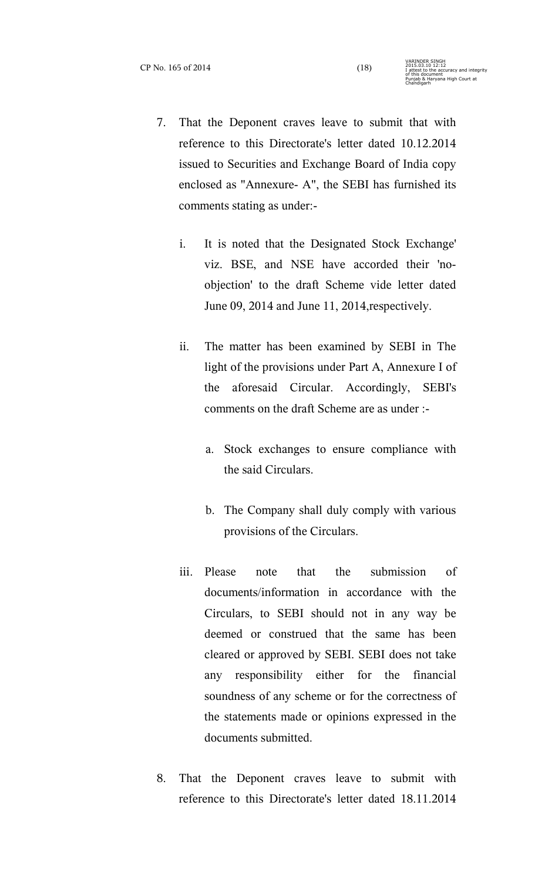- 7. That the Deponent craves leave to submit that with reference to this Directorate's letter dated 10.12.2014 issued to Securities and Exchange Board of India copy enclosed as "Annexure- A", the SEBI has furnished its comments stating as under:
	- i. It is noted that the Designated Stock Exchange' viz. BSE, and NSE have accorded their 'noobjection' to the draft Scheme vide letter dated June 09, 2014 and June 11, 2014,respectively.
	- ii. The matter has been examined by SEBI in The light of the provisions under Part A, Annexure I of the aforesaid Circular. Accordingly, SEBI's comments on the draft Scheme are as under :
		- a. Stock exchanges to ensure compliance with the said Circulars.
		- b. The Company shall duly comply with various provisions of the Circulars.
	- iii. Please note that the submission of documents/information in accordance with the Circulars, to SEBI should not in any way be deemed or construed that the same has been cleared or approved by SEBI. SEBI does not take any responsibility either for the financial soundness of any scheme or for the correctness of the statements made or opinions expressed in the documents submitted.
- 8. That the Deponent craves leave to submit with reference to this Directorate's letter dated 18.11.2014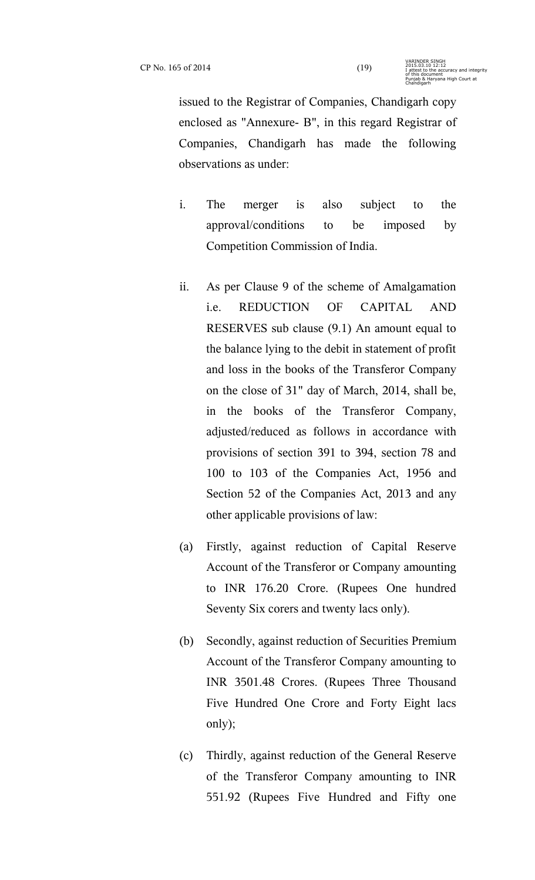issued to the Registrar of Companies, Chandigarh copy enclosed as "Annexure- B", in this regard Registrar of Companies, Chandigarh has made the following observations as under:

- i. The merger is also subject to the approval/conditions to be imposed by Competition Commission of India.
- ii. As per Clause 9 of the scheme of Amalgamation i.e. REDUCTION OF CAPITAL AND RESERVES sub clause (9.1) An amount equal to the balance lying to the debit in statement of profit and loss in the books of the Transferor Company on the close of 31" day of March, 2014, shall be, in the books of the Transferor Company, adjusted/reduced as follows in accordance with provisions of section 391 to 394, section 78 and 100 to 103 of the Companies Act, 1956 and Section 52 of the Companies Act, 2013 and any other applicable provisions of law:
- (a) Firstly, against reduction of Capital Reserve Account of the Transferor or Company amounting to INR 176.20 Crore. (Rupees One hundred Seventy Six corers and twenty lacs only).
- (b) Secondly, against reduction of Securities Premium Account of the Transferor Company amounting to INR 3501.48 Crores. (Rupees Three Thousand Five Hundred One Crore and Forty Eight lacs only);
- (c) Thirdly, against reduction of the General Reserve of the Transferor Company amounting to INR 551.92 (Rupees Five Hundred and Fifty one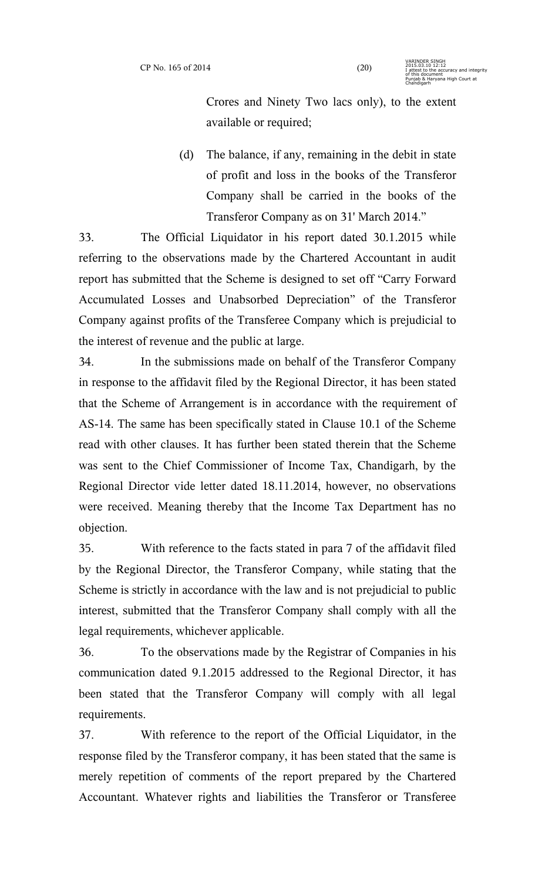Crores and Ninety Two lacs only), to the extent available or required;

(d) The balance, if any, remaining in the debit in state of profit and loss in the books of the Transferor Company shall be carried in the books of the Transferor Company as on 31' March 2014."

33. The Official Liquidator in his report dated 30.1.2015 while referring to the observations made by the Chartered Accountant in audit report has submitted that the Scheme is designed to set off "Carry Forward Accumulated Losses and Unabsorbed Depreciation" of the Transferor Company against profits of the Transferee Company which is prejudicial to the interest of revenue and the public at large.

34. In the submissions made on behalf of the Transferor Company in response to the affidavit filed by the Regional Director, it has been stated that the Scheme of Arrangement is in accordance with the requirement of AS-14. The same has been specifically stated in Clause 10.1 of the Scheme read with other clauses. It has further been stated therein that the Scheme was sent to the Chief Commissioner of Income Tax, Chandigarh, by the Regional Director vide letter dated 18.11.2014, however, no observations were received. Meaning thereby that the Income Tax Department has no objection.

35. With reference to the facts stated in para 7 of the affidavit filed by the Regional Director, the Transferor Company, while stating that the Scheme is strictly in accordance with the law and is not prejudicial to public interest, submitted that the Transferor Company shall comply with all the legal requirements, whichever applicable.

36. To the observations made by the Registrar of Companies in his communication dated 9.1.2015 addressed to the Regional Director, it has been stated that the Transferor Company will comply with all legal requirements.

37. With reference to the report of the Official Liquidator, in the response filed by the Transferor company, it has been stated that the same is merely repetition of comments of the report prepared by the Chartered Accountant. Whatever rights and liabilities the Transferor or Transferee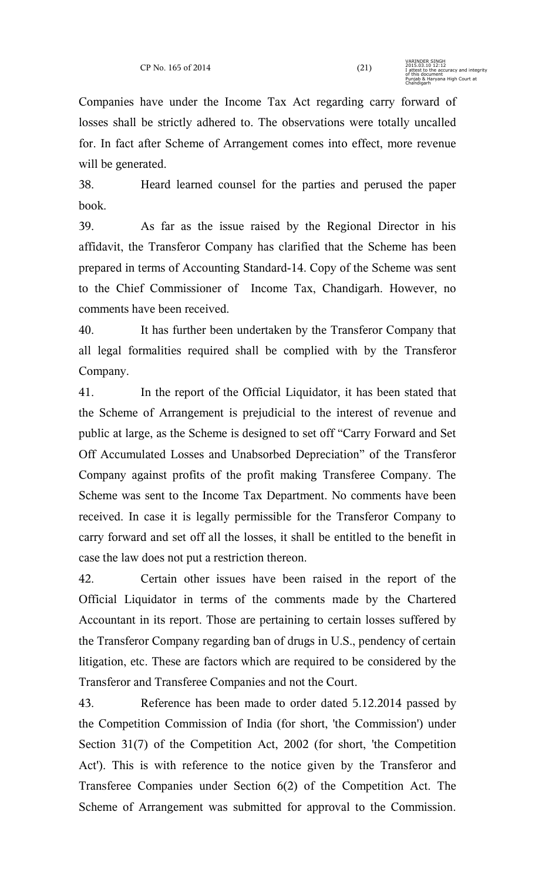Companies have under the Income Tax Act regarding carry forward of losses shall be strictly adhered to. The observations were totally uncalled for. In fact after Scheme of Arrangement comes into effect, more revenue will be generated.

38. Heard learned counsel for the parties and perused the paper book.

39. As far as the issue raised by the Regional Director in his affidavit, the Transferor Company has clarified that the Scheme has been prepared in terms of Accounting Standard-14. Copy of the Scheme was sent to the Chief Commissioner of Income Tax, Chandigarh. However, no comments have been received.

40. It has further been undertaken by the Transferor Company that all legal formalities required shall be complied with by the Transferor Company.

41. In the report of the Official Liquidator, it has been stated that the Scheme of Arrangement is prejudicial to the interest of revenue and public at large, as the Scheme is designed to set off "Carry Forward and Set Off Accumulated Losses and Unabsorbed Depreciation" of the Transferor Company against profits of the profit making Transferee Company. The Scheme was sent to the Income Tax Department. No comments have been received. In case it is legally permissible for the Transferor Company to carry forward and set off all the losses, it shall be entitled to the benefit in case the law does not put a restriction thereon.

42. Certain other issues have been raised in the report of the Official Liquidator in terms of the comments made by the Chartered Accountant in its report. Those are pertaining to certain losses suffered by the Transferor Company regarding ban of drugs in U.S., pendency of certain litigation, etc. These are factors which are required to be considered by the Transferor and Transferee Companies and not the Court.

43. Reference has been made to order dated 5.12.2014 passed by the Competition Commission of India (for short, 'the Commission') under Section 31(7) of the Competition Act, 2002 (for short, 'the Competition Act'). This is with reference to the notice given by the Transferor and Transferee Companies under Section 6(2) of the Competition Act. The Scheme of Arrangement was submitted for approval to the Commission.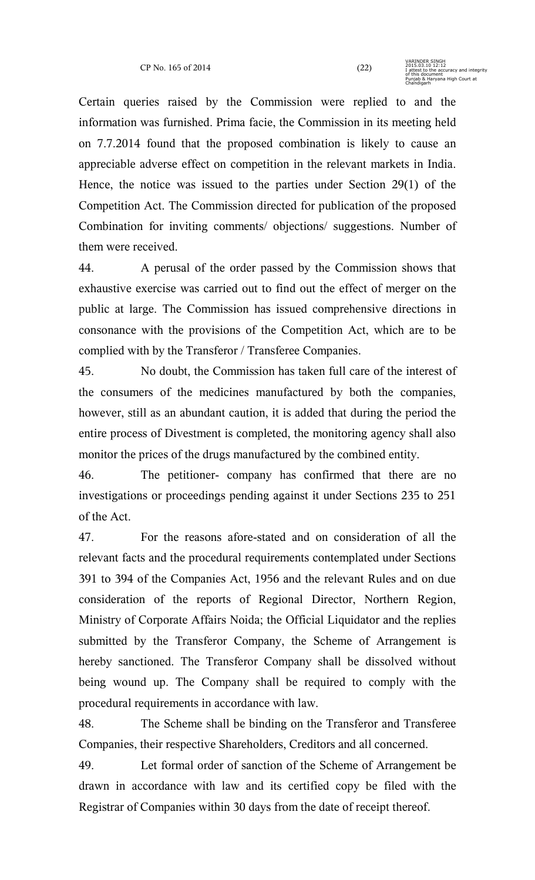Certain queries raised by the Commission were replied to and the information was furnished. Prima facie, the Commission in its meeting held on 7.7.2014 found that the proposed combination is likely to cause an appreciable adverse effect on competition in the relevant markets in India. Hence, the notice was issued to the parties under Section 29(1) of the Competition Act. The Commission directed for publication of the proposed Combination for inviting comments/ objections/ suggestions. Number of them were received.

44. A perusal of the order passed by the Commission shows that exhaustive exercise was carried out to find out the effect of merger on the public at large. The Commission has issued comprehensive directions in consonance with the provisions of the Competition Act, which are to be complied with by the Transferor / Transferee Companies.

45. No doubt, the Commission has taken full care of the interest of the consumers of the medicines manufactured by both the companies, however, still as an abundant caution, it is added that during the period the entire process of Divestment is completed, the monitoring agency shall also monitor the prices of the drugs manufactured by the combined entity.

46. The petitioner- company has confirmed that there are no investigations or proceedings pending against it under Sections 235 to 251 of the Act.

47. For the reasons afore-stated and on consideration of all the relevant facts and the procedural requirements contemplated under Sections 391 to 394 of the Companies Act, 1956 and the relevant Rules and on due consideration of the reports of Regional Director, Northern Region, Ministry of Corporate Affairs Noida; the Official Liquidator and the replies submitted by the Transferor Company, the Scheme of Arrangement is hereby sanctioned. The Transferor Company shall be dissolved without being wound up. The Company shall be required to comply with the procedural requirements in accordance with law.

48. The Scheme shall be binding on the Transferor and Transferee Companies, their respective Shareholders, Creditors and all concerned.

49. Let formal order of sanction of the Scheme of Arrangement be drawn in accordance with law and its certified copy be filed with the Registrar of Companies within 30 days from the date of receipt thereof.